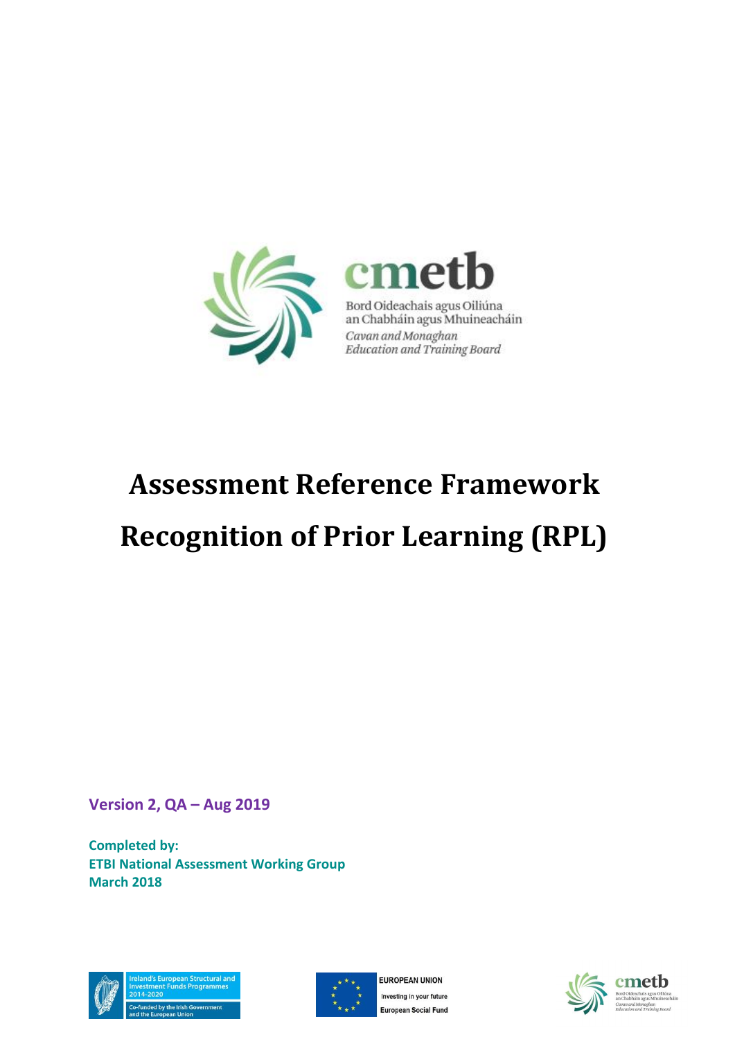

# **Assessment Reference Framework**

# **Recognition of Prior Learning (RPL)**

**Version 2, QA – Aug 2019**

**Completed by: ETBI National Assessment Working Group March 2018**





**EUROPEAN UNION** Investing in your future European Social Fund



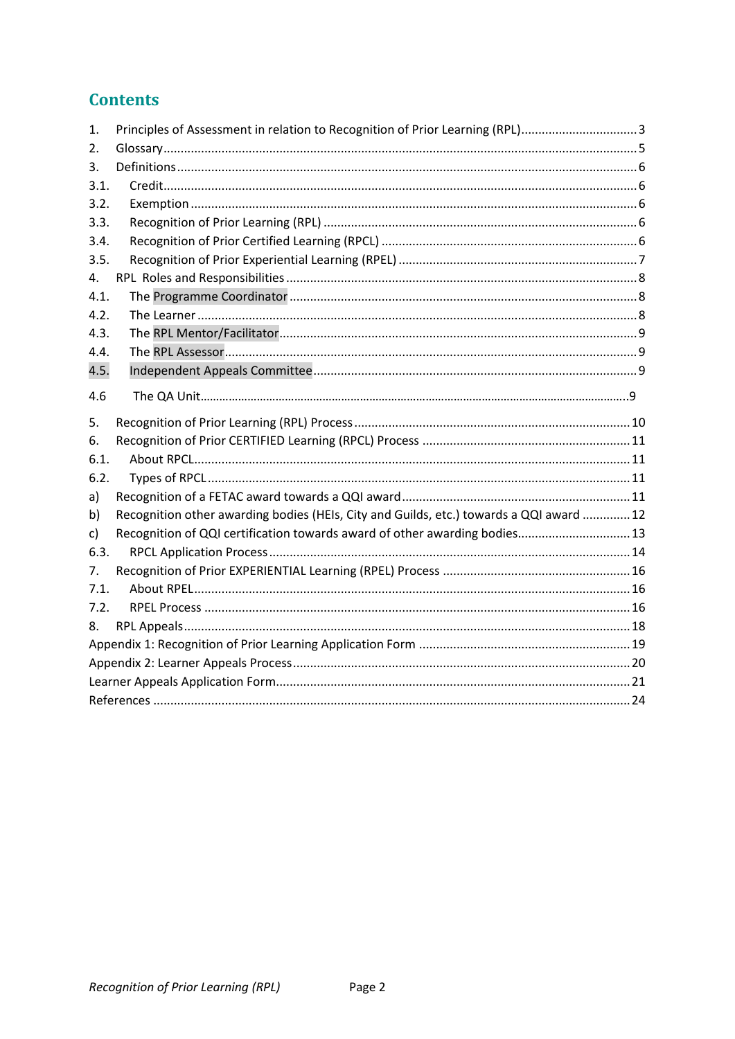### **Contents**

| 1.   | Principles of Assessment in relation to Recognition of Prior Learning (RPL)3            |  |
|------|-----------------------------------------------------------------------------------------|--|
| 2.   |                                                                                         |  |
| 3.   |                                                                                         |  |
| 3.1. |                                                                                         |  |
| 3.2. |                                                                                         |  |
| 3.3. |                                                                                         |  |
| 3.4. |                                                                                         |  |
| 3.5. |                                                                                         |  |
| 4.   |                                                                                         |  |
| 4.1. |                                                                                         |  |
| 4.2. |                                                                                         |  |
| 4.3. |                                                                                         |  |
| 4.4. |                                                                                         |  |
| 4.5. |                                                                                         |  |
| 4.6  |                                                                                         |  |
|      |                                                                                         |  |
| 5.   |                                                                                         |  |
| 6.   |                                                                                         |  |
| 6.1. |                                                                                         |  |
| 6.2. |                                                                                         |  |
| a)   |                                                                                         |  |
| b)   | Recognition other awarding bodies (HEIs, City and Guilds, etc.) towards a QQI award  12 |  |
| c)   | Recognition of QQI certification towards award of other awarding bodies 13              |  |
| 6.3. |                                                                                         |  |
| 7.   |                                                                                         |  |
| 7.1. |                                                                                         |  |
| 7.2. |                                                                                         |  |
| 8.   |                                                                                         |  |
|      |                                                                                         |  |
|      |                                                                                         |  |
|      |                                                                                         |  |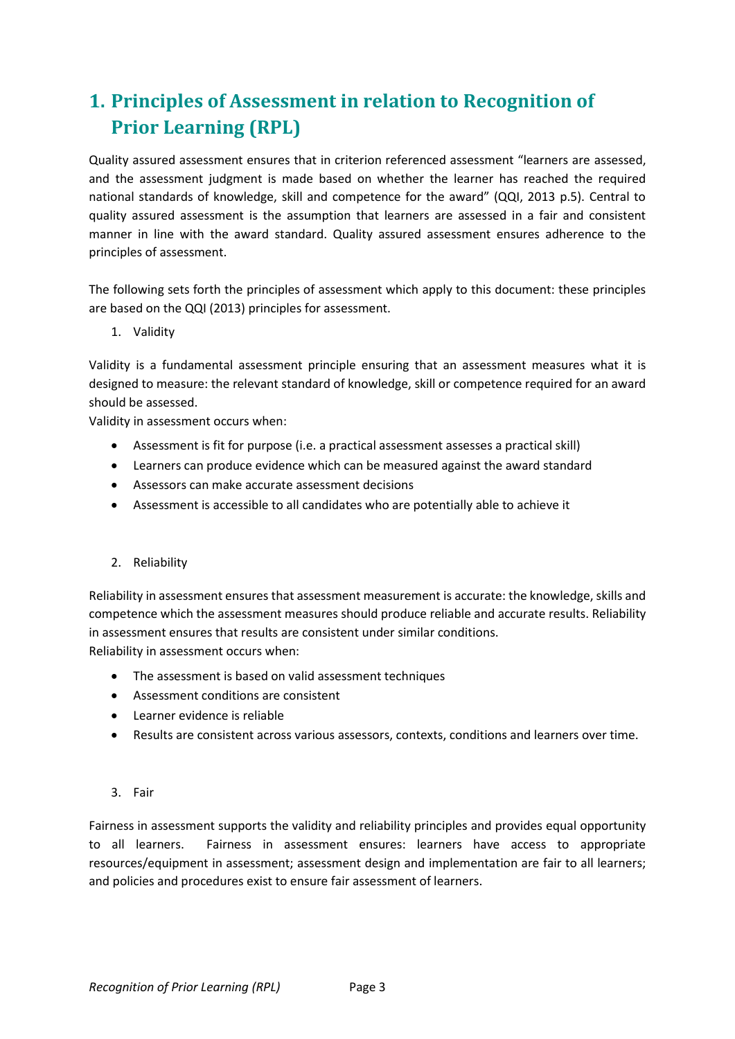# <span id="page-2-0"></span>**1. Principles of Assessment in relation to Recognition of Prior Learning (RPL)**

Quality assured assessment ensures that in criterion referenced assessment "learners are assessed, and the assessment judgment is made based on whether the learner has reached the required national standards of knowledge, skill and competence for the award" (QQI, 2013 p.5). Central to quality assured assessment is the assumption that learners are assessed in a fair and consistent manner in line with the award standard. Quality assured assessment ensures adherence to the principles of assessment.

The following sets forth the principles of assessment which apply to this document: these principles are based on the QQI (2013) principles for assessment.

1. Validity

Validity is a fundamental assessment principle ensuring that an assessment measures what it is designed to measure: the relevant standard of knowledge, skill or competence required for an award should be assessed.

Validity in assessment occurs when:

- Assessment is fit for purpose (i.e. a practical assessment assesses a practical skill)
- Learners can produce evidence which can be measured against the award standard
- Assessors can make accurate assessment decisions
- Assessment is accessible to all candidates who are potentially able to achieve it

#### 2. Reliability

Reliability in assessment ensures that assessment measurement is accurate: the knowledge, skills and competence which the assessment measures should produce reliable and accurate results. Reliability in assessment ensures that results are consistent under similar conditions. Reliability in assessment occurs when:

- The assessment is based on valid assessment techniques
- Assessment conditions are consistent
- Learner evidence is reliable
- Results are consistent across various assessors, contexts, conditions and learners over time.

#### 3. Fair

Fairness in assessment supports the validity and reliability principles and provides equal opportunity to all learners. Fairness in assessment ensures: learners have access to appropriate resources/equipment in assessment; assessment design and implementation are fair to all learners; and policies and procedures exist to ensure fair assessment of learners.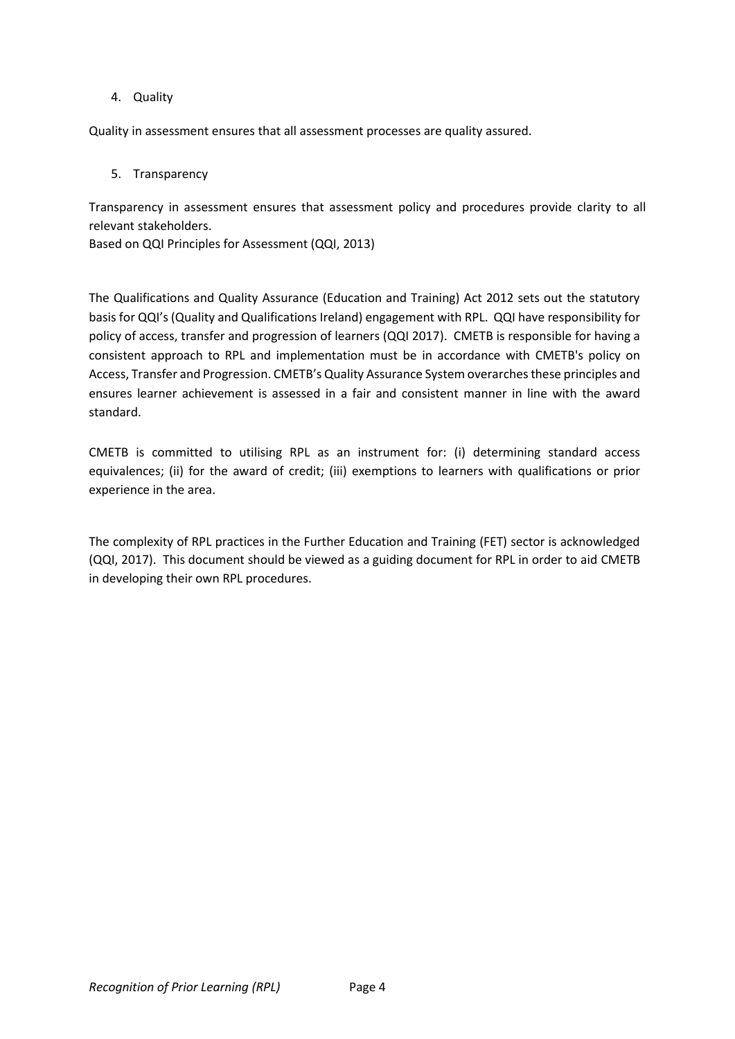#### 4. Quality

Quality in assessment ensures that all assessment processes are quality assured.

#### 5. Transparency

Transparency in assessment ensures that assessment policy and procedures provide clarity to all relevant stakeholders.

Based on QQI Principles for Assessment (QQI, 2013)

The Qualifications and Quality Assurance (Education and Training) Act 2012 sets out the statutory basis for QQI's (Quality and Qualifications Ireland) engagement with RPL. QQI have responsibility for policy of access, transfer and progression of learners (QQI 2017). CMETB is responsible for having a consistent approach to RPL and implementation must be in accordance with CMETB's policy on Access, Transfer and Progression. CMETB's Quality Assurance System overarches these principles and ensures learner achievement is assessed in a fair and consistent manner in line with the award standard.

CMETB is committed to utilising RPL as an instrument for: (i) determining standard access equivalences; (ii) for the award of credit; (iii) exemptions to learners with qualifications or prior experience in the area.

The complexity of RPL practices in the Further Education and Training (FET) sector is acknowledged (QQI, 2017). This document should be viewed as a guiding document for RPL in order to aid CMETB in developing their own RPL procedures.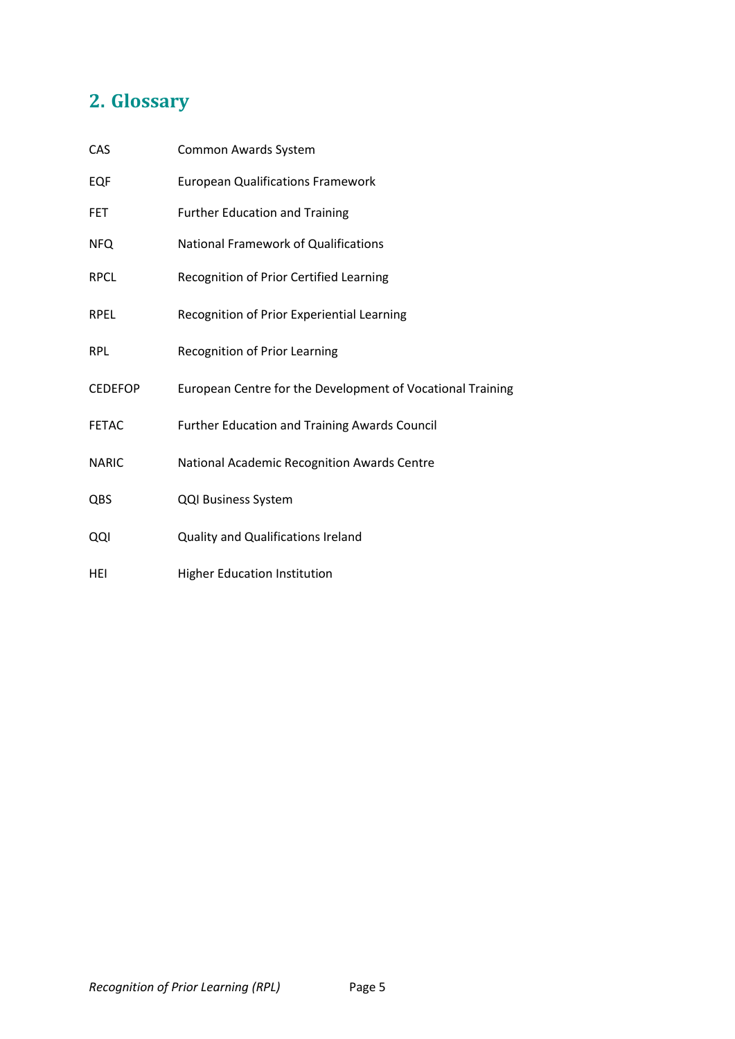# <span id="page-4-0"></span>**2. Glossary**

| CAS            | Common Awards System                                       |
|----------------|------------------------------------------------------------|
| EQF            | <b>European Qualifications Framework</b>                   |
| FET            | <b>Further Education and Training</b>                      |
| <b>NFQ</b>     | <b>National Framework of Qualifications</b>                |
| RPCL           | Recognition of Prior Certified Learning                    |
| <b>RPEL</b>    | Recognition of Prior Experiential Learning                 |
| RPL            | Recognition of Prior Learning                              |
| <b>CEDEFOP</b> | European Centre for the Development of Vocational Training |
| <b>FETAC</b>   | <b>Further Education and Training Awards Council</b>       |
| <b>NARIC</b>   | National Academic Recognition Awards Centre                |
| QBS            | <b>QQI Business System</b>                                 |
| QQI            | <b>Quality and Qualifications Ireland</b>                  |
| HEI            | <b>Higher Education Institution</b>                        |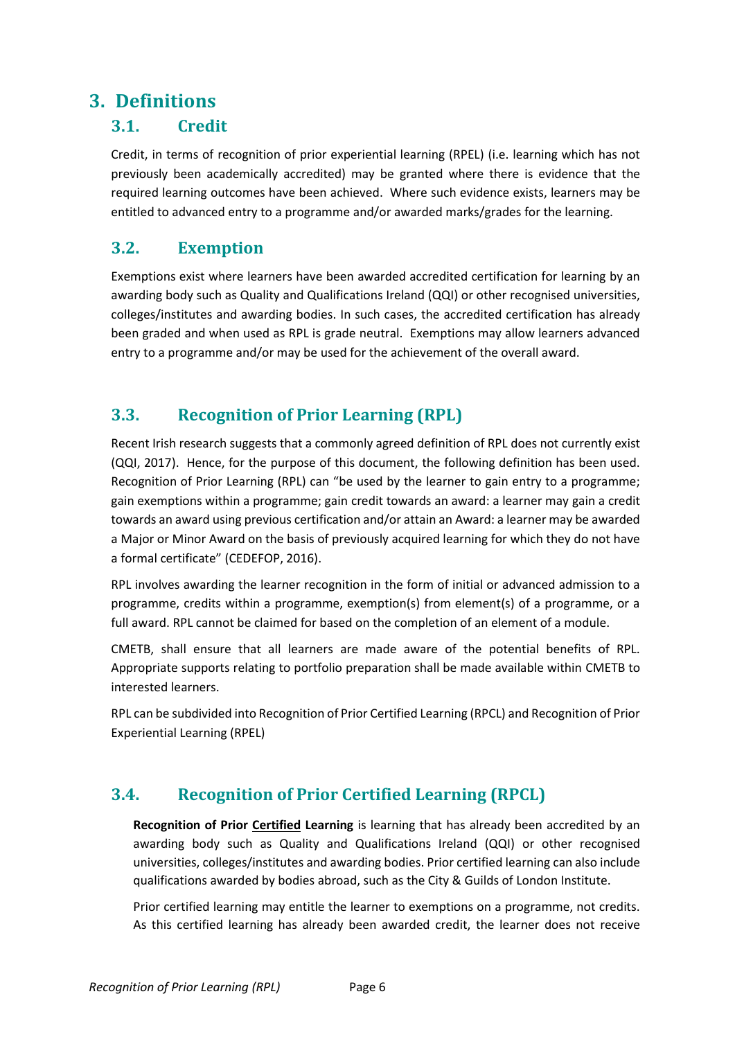### <span id="page-5-0"></span>**3. Definitions**

#### <span id="page-5-1"></span>**3.1. Credit**

Credit, in terms of recognition of prior experiential learning (RPEL) (i.e. learning which has not previously been academically accredited) may be granted where there is evidence that the required learning outcomes have been achieved. Where such evidence exists, learners may be entitled to advanced entry to a programme and/or awarded marks/grades for the learning.

### <span id="page-5-2"></span>**3.2. Exemption**

Exemptions exist where learners have been awarded accredited certification for learning by an awarding body such as Quality and Qualifications Ireland (QQI) or other recognised universities, colleges/institutes and awarding bodies. In such cases, the accredited certification has already been graded and when used as RPL is grade neutral. Exemptions may allow learners advanced entry to a programme and/or may be used for the achievement of the overall award.

### <span id="page-5-3"></span>**3.3. Recognition of Prior Learning (RPL)**

Recent Irish research suggests that a commonly agreed definition of RPL does not currently exist (QQI, 2017). Hence, for the purpose of this document, the following definition has been used. Recognition of Prior Learning (RPL) can "be used by the learner to gain entry to a programme; gain exemptions within a programme; gain credit towards an award: a learner may gain a credit towards an award using previous certification and/or attain an Award: a learner may be awarded a Major or Minor Award on the basis of previously acquired learning for which they do not have a formal certificate" (CEDEFOP, 2016).

RPL involves awarding the learner recognition in the form of initial or advanced admission to a programme, credits within a programme, exemption(s) from element(s) of a programme, or a full award. RPL cannot be claimed for based on the completion of an element of a module.

CMETB, shall ensure that all learners are made aware of the potential benefits of RPL. Appropriate supports relating to portfolio preparation shall be made available within CMETB to interested learners.

RPL can be subdivided into Recognition of Prior Certified Learning (RPCL) and Recognition of Prior Experiential Learning (RPEL)

### <span id="page-5-4"></span>**3.4. Recognition of Prior Certified Learning (RPCL)**

**Recognition of Prior Certified Learning** is learning that has already been accredited by an awarding body such as Quality and Qualifications Ireland (QQI) or other recognised universities, colleges/institutes and awarding bodies. Prior certified learning can also include qualifications awarded by bodies abroad, such as the City & Guilds of London Institute.

Prior certified learning may entitle the learner to exemptions on a programme, not credits. As this certified learning has already been awarded credit, the learner does not receive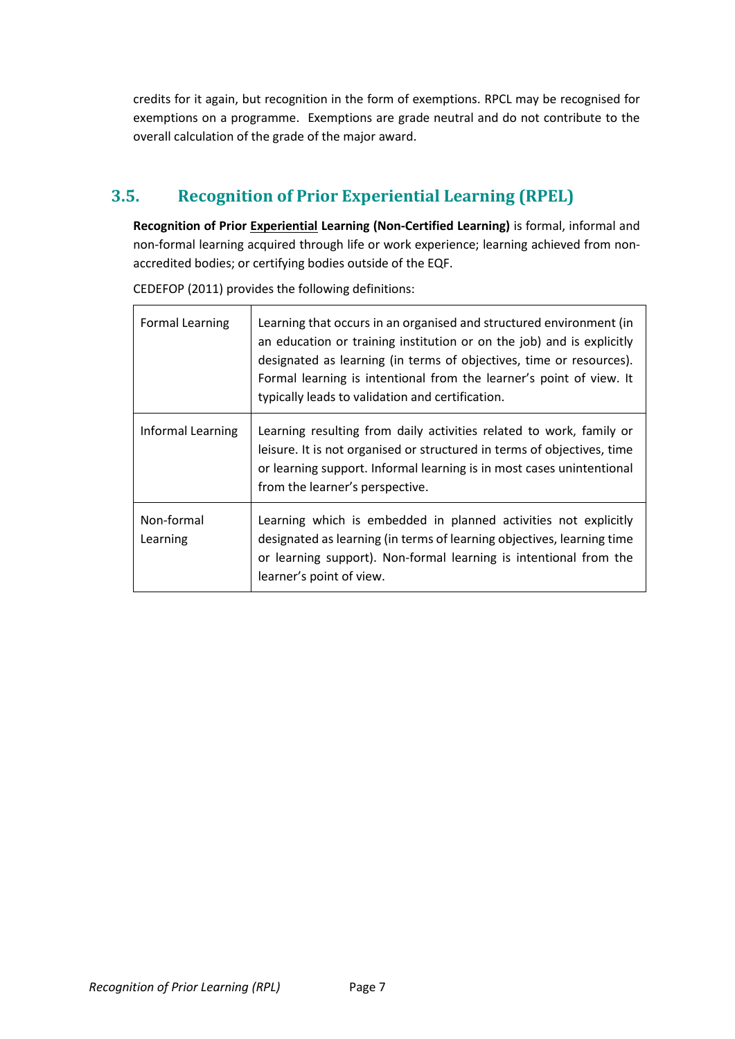credits for it again, but recognition in the form of exemptions. RPCL may be recognised for exemptions on a programme. Exemptions are grade neutral and do not contribute to the overall calculation of the grade of the major award.

### <span id="page-6-0"></span>**3.5. Recognition of Prior Experiential Learning (RPEL)**

**Recognition of Prior Experiential Learning (Non-Certified Learning)** is formal, informal and non-formal learning acquired through life or work experience; learning achieved from nonaccredited bodies; or certifying bodies outside of the EQF.

| <b>Formal Learning</b> | Learning that occurs in an organised and structured environment (in<br>an education or training institution or on the job) and is explicitly<br>designated as learning (in terms of objectives, time or resources).<br>Formal learning is intentional from the learner's point of view. It<br>typically leads to validation and certification. |
|------------------------|------------------------------------------------------------------------------------------------------------------------------------------------------------------------------------------------------------------------------------------------------------------------------------------------------------------------------------------------|
| Informal Learning      | Learning resulting from daily activities related to work, family or<br>leisure. It is not organised or structured in terms of objectives, time<br>or learning support. Informal learning is in most cases unintentional<br>from the learner's perspective.                                                                                     |
| Non-formal<br>Learning | Learning which is embedded in planned activities not explicitly<br>designated as learning (in terms of learning objectives, learning time<br>or learning support). Non-formal learning is intentional from the<br>learner's point of view.                                                                                                     |

CEDEFOP (2011) provides the following definitions: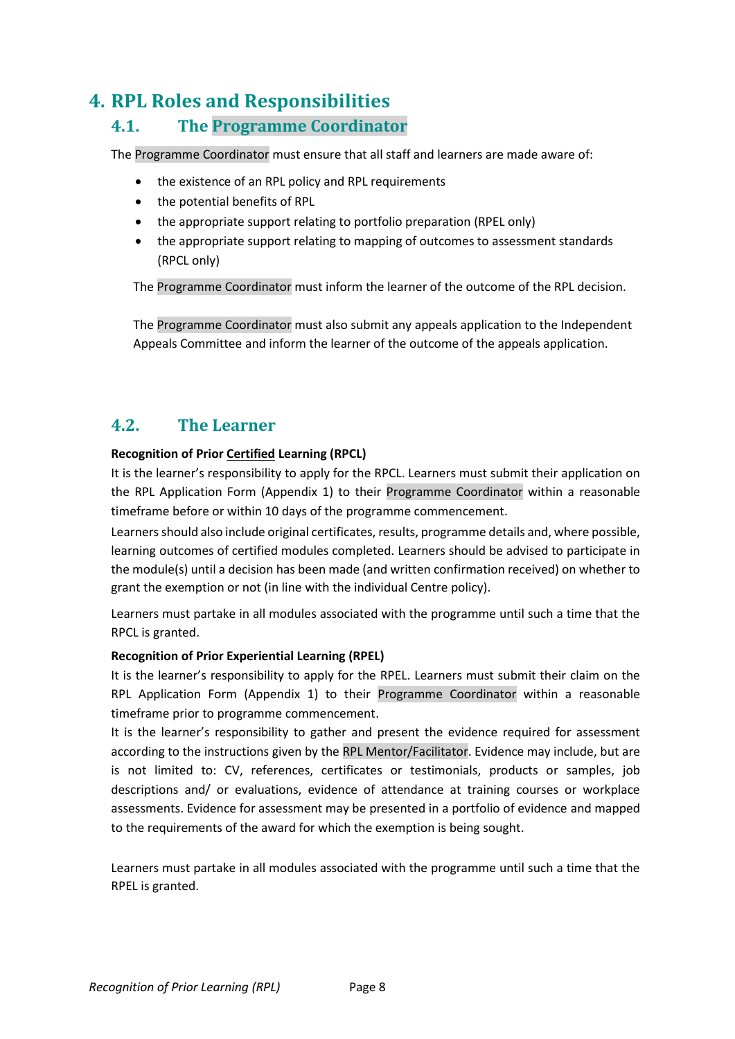### <span id="page-7-0"></span>**4. RPL Roles and Responsibilities**

#### <span id="page-7-1"></span>**4.1. The Programme Coordinator**

The Programme Coordinator must ensure that all staff and learners are made aware of:

- the existence of an RPL policy and RPL requirements
- the potential benefits of RPL
- the appropriate support relating to portfolio preparation (RPEL only)
- the appropriate support relating to mapping of outcomes to assessment standards (RPCL only)

The Programme Coordinator must inform the learner of the outcome of the RPL decision.

The Programme Coordinator must also submit any appeals application to the Independent Appeals Committee and inform the learner of the outcome of the appeals application.

#### <span id="page-7-2"></span>**4.2. The Learner**

#### **Recognition of Prior Certified Learning (RPCL)**

It is the learner's responsibility to apply for the RPCL. Learners must submit their application on the RPL Application Form (Appendix 1) to their Programme Coordinator within a reasonable timeframe before or within 10 days of the programme commencement.

Learners should also include original certificates, results, programme details and, where possible, learning outcomes of certified modules completed. Learners should be advised to participate in the module(s) until a decision has been made (and written confirmation received) on whether to grant the exemption or not (in line with the individual Centre policy).

Learners must partake in all modules associated with the programme until such a time that the RPCL is granted.

#### **Recognition of Prior Experiential Learning (RPEL)**

It is the learner's responsibility to apply for the RPEL. Learners must submit their claim on the RPL Application Form (Appendix 1) to their Programme Coordinator within a reasonable timeframe prior to programme commencement.

It is the learner's responsibility to gather and present the evidence required for assessment according to the instructions given by the RPL Mentor/Facilitator. Evidence may include, but are is not limited to: CV, references, certificates or testimonials, products or samples, job descriptions and/ or evaluations, evidence of attendance at training courses or workplace assessments. Evidence for assessment may be presented in a portfolio of evidence and mapped to the requirements of the award for which the exemption is being sought.

Learners must partake in all modules associated with the programme until such a time that the RPEL is granted.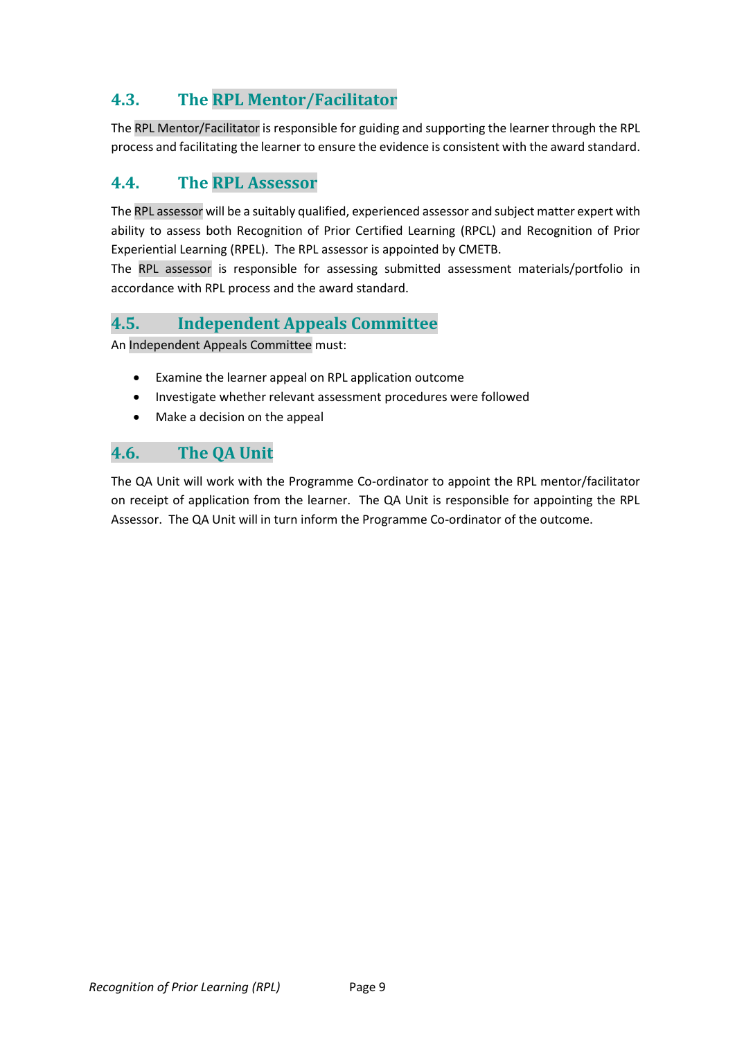### <span id="page-8-0"></span>**4.3. The RPL Mentor/Facilitator**

The RPL Mentor/Facilitator is responsible for guiding and supporting the learner through the RPL process and facilitating the learner to ensure the evidence is consistent with the award standard.

#### <span id="page-8-1"></span>**4.4. The RPL Assessor**

The RPL assessor will be a suitably qualified, experienced assessor and subject matter expert with ability to assess both Recognition of Prior Certified Learning (RPCL) and Recognition of Prior Experiential Learning (RPEL). The RPL assessor is appointed by CMETB.

The RPL assessor is responsible for assessing submitted assessment materials/portfolio in accordance with RPL process and the award standard.

#### <span id="page-8-2"></span>**4.5. Independent Appeals Committee**

An Independent Appeals Committee must:

- Examine the learner appeal on RPL application outcome
- Investigate whether relevant assessment procedures were followed
- Make a decision on the appeal

#### <span id="page-8-3"></span>**4.6. The QA Unit**

The QA Unit will work with the Programme Co-ordinator to appoint the RPL mentor/facilitator on receipt of application from the learner. The QA Unit is responsible for appointing the RPL Assessor. The QA Unit will in turn inform the Programme Co-ordinator of the outcome.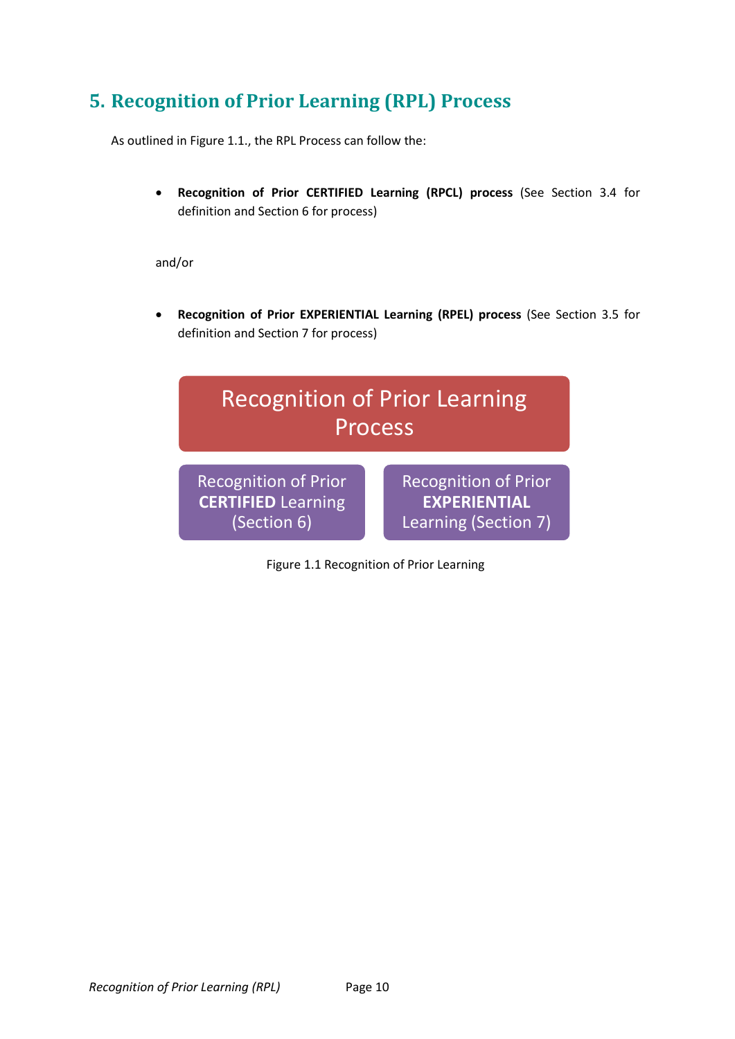## <span id="page-9-0"></span>**5. Recognition of Prior Learning (RPL) Process**

As outlined in Figure 1.1., the RPL Process can follow the:

• **Recognition of Prior CERTIFIED Learning (RPCL) process** (See Section 3.4 for definition and Section 6 for process)

and/or

• **Recognition of Prior EXPERIENTIAL Learning (RPEL) process** (See Section 3.5 for definition and Section 7 for process)



Figure 1.1 Recognition of Prior Learning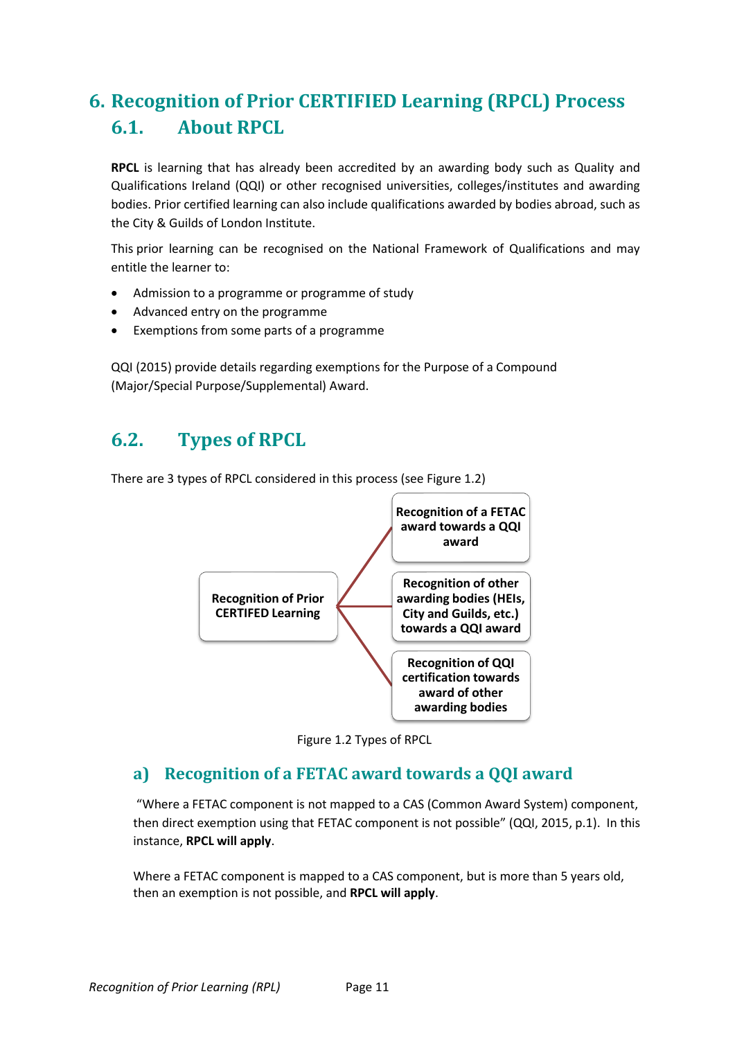# <span id="page-10-1"></span><span id="page-10-0"></span>**6. Recognition of Prior CERTIFIED Learning (RPCL) Process 6.1. About RPCL**

**RPCL** is learning that has already been accredited by an awarding body such as Quality and Qualifications Ireland (QQI) or other recognised universities, colleges/institutes and awarding bodies. Prior certified learning can also include qualifications awarded by bodies abroad, such as the City & Guilds of London Institute.

This prior learning can be recognised on the National Framework of Qualifications and may entitle the learner to:

- Admission to a programme or programme of study
- Advanced entry on the programme
- Exemptions from some parts of a programme

QQI (2015) provide details regarding exemptions for the Purpose of a Compound (Major/Special Purpose/Supplemental) Award.

## <span id="page-10-2"></span>**6.2. Types of RPCL**

There are 3 types of RPCL considered in this process (see Figure 1.2)





#### <span id="page-10-3"></span>**a) Recognition of a FETAC award towards a QQI award**

"Where a FETAC component is not mapped to a CAS (Common Award System) component, then direct exemption using that FETAC component is not possible" (QQI, 2015, p.1). In this instance, **RPCL will apply**.

Where a FETAC component is mapped to a CAS component, but is more than 5 years old, then an exemption is not possible, and **RPCL will apply**.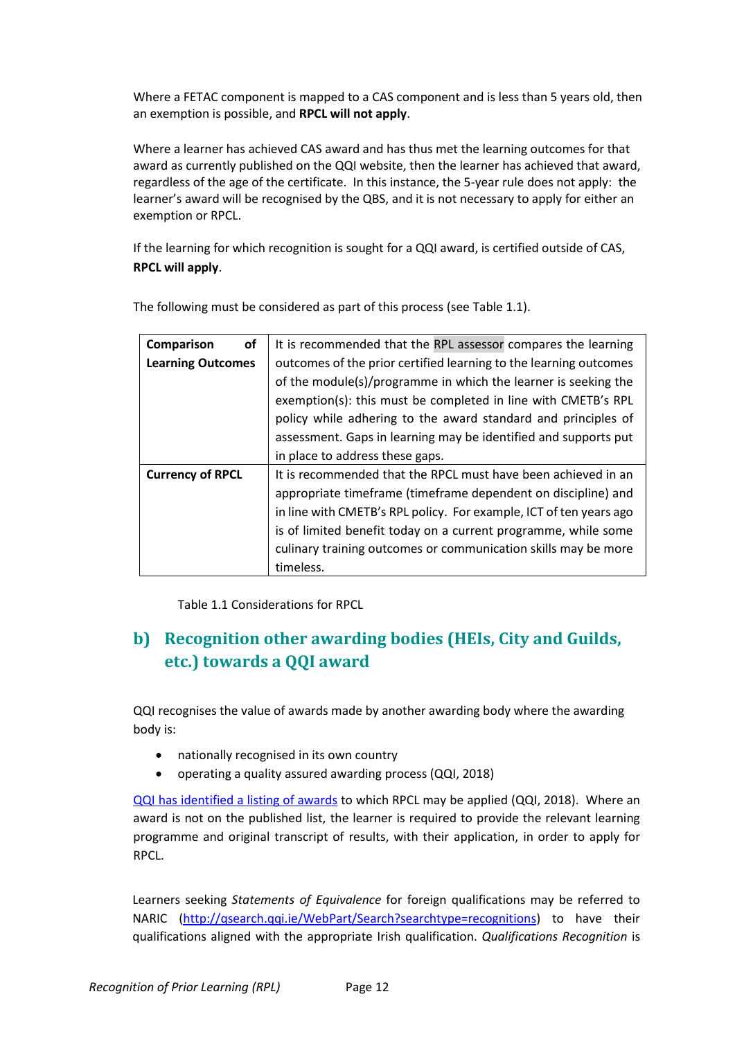Where a FETAC component is mapped to a CAS component and is less than 5 years old, then an exemption is possible, and **RPCL will not apply**.

Where a learner has achieved CAS award and has thus met the learning outcomes for that award as currently published on the QQI website, then the learner has achieved that award, regardless of the age of the certificate. In this instance, the 5-year rule does not apply: the learner's award will be recognised by the QBS, and it is not necessary to apply for either an exemption or RPCL.

If the learning for which recognition is sought for a QQI award, is certified outside of CAS, **RPCL will apply**.

| Comparison<br>οf         | It is recommended that the RPL assessor compares the learning      |  |  |
|--------------------------|--------------------------------------------------------------------|--|--|
| <b>Learning Outcomes</b> | outcomes of the prior certified learning to the learning outcomes  |  |  |
|                          | of the module(s)/programme in which the learner is seeking the     |  |  |
|                          | exemption(s): this must be completed in line with CMETB's RPL      |  |  |
|                          | policy while adhering to the award standard and principles of      |  |  |
|                          | assessment. Gaps in learning may be identified and supports put    |  |  |
|                          | in place to address these gaps.                                    |  |  |
| <b>Currency of RPCL</b>  | It is recommended that the RPCL must have been achieved in an      |  |  |
|                          | appropriate timeframe (timeframe dependent on discipline) and      |  |  |
|                          | in line with CMETB's RPL policy. For example, ICT of ten years ago |  |  |
|                          | is of limited benefit today on a current programme, while some     |  |  |
|                          | culinary training outcomes or communication skills may be more     |  |  |
|                          | timeless.                                                          |  |  |

The following must be considered as part of this process (see Table 1.1).

Table 1.1 Considerations for RPCL

### <span id="page-11-0"></span>**b) Recognition other awarding bodies (HEIs, City and Guilds, etc.) towards a QQI award**

QQI recognises the value of awards made by another awarding body where the awarding body is:

- nationally recognised in its own country
- operating a quality assured awarding process (QQI, 2018)

[QQI has identified a listing of awards](http://qsearch.qqi.ie/WebPart/Search?searchtype=exemptions) to which RPCL may be applied (QQI, 2018). Where an award is not on the published list, the learner is required to provide the relevant learning programme and original transcript of results, with their application, in order to apply for RPCL.

Learners seeking *Statements of Equivalence* for foreign qualifications may be referred to NARIC [\(http://qsearch.qqi.ie/WebPart/Search?searchtype=recognitions\)](http://qsearch.qqi.ie/WebPart/Search?searchtype=recognitions) to have their qualifications aligned with the appropriate Irish qualification. *Qualifications Recognition* is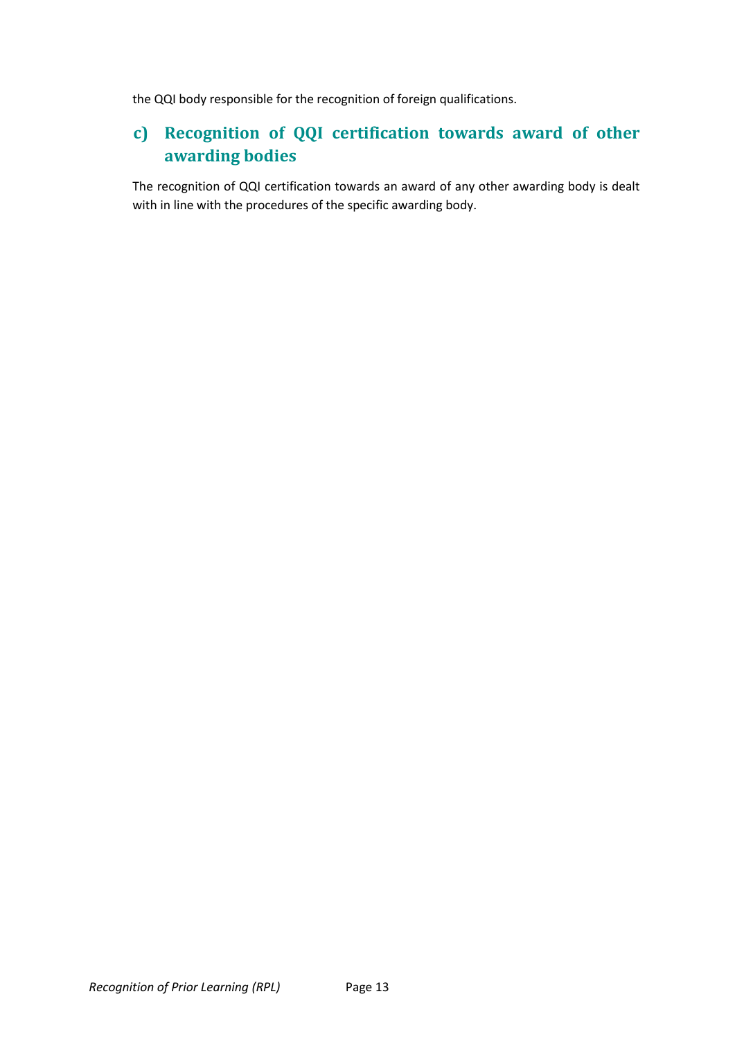the QQI body responsible for the recognition of foreign qualifications.

### <span id="page-12-0"></span>**c) Recognition of QQI certification towards award of other awarding bodies**

The recognition of QQI certification towards an award of any other awarding body is dealt with in line with the procedures of the specific awarding body.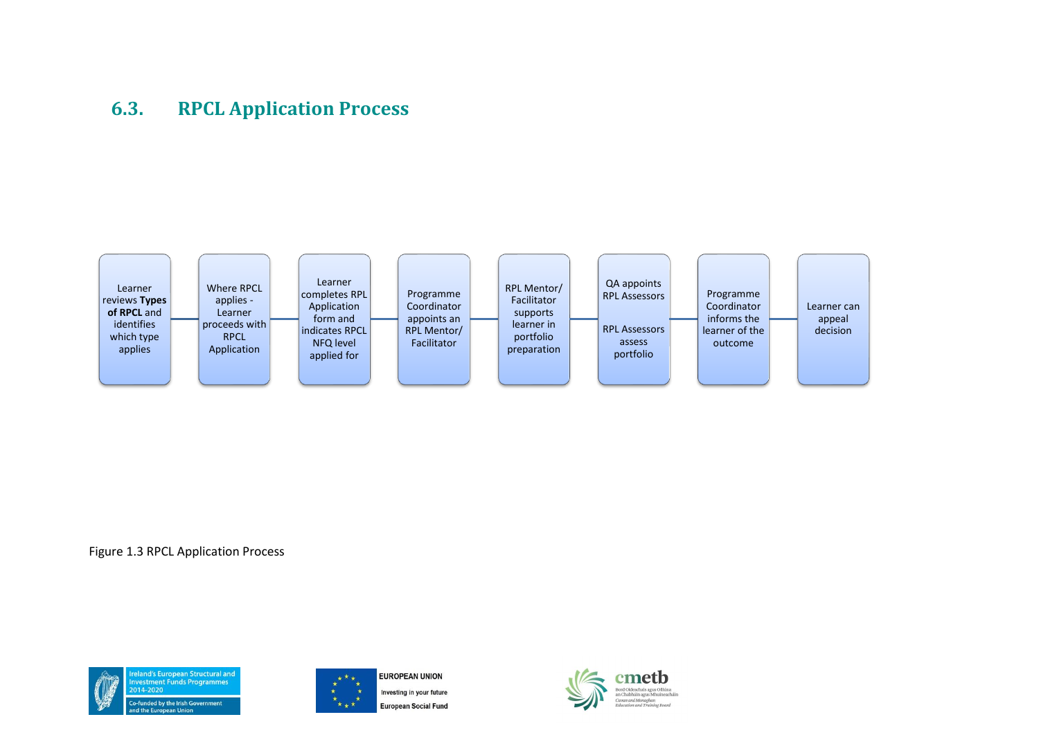### **6.3. RPCL Application Process**



<span id="page-13-0"></span>Figure 1.3 RPCL Application Process







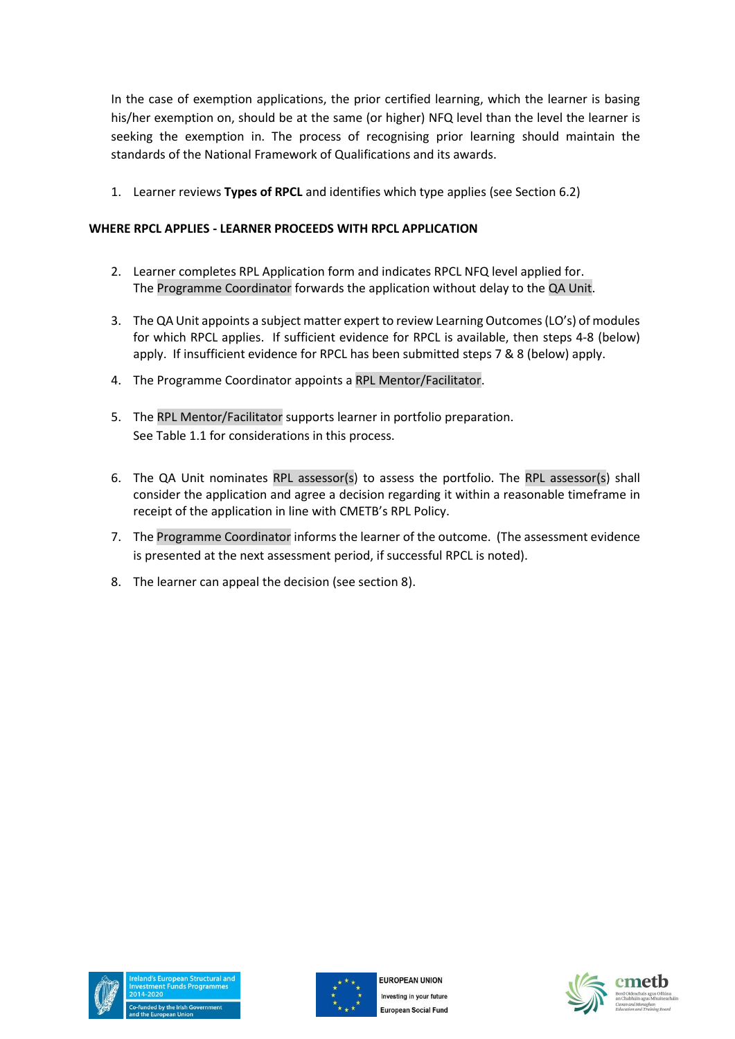In the case of exemption applications, the prior certified learning, which the learner is basing his/her exemption on, should be at the same (or higher) NFQ level than the level the learner is seeking the exemption in. The process of recognising prior learning should maintain the standards of the National Framework of Qualifications and its awards.

1. Learner reviews **Types of RPCL** and identifies which type applies (see Section 6.2)

#### **WHERE RPCL APPLIES - LEARNER PROCEEDS WITH RPCL APPLICATION**

- 2. Learner completes RPL Application form and indicates RPCL NFQ level applied for. The Programme Coordinator forwards the application without delay to the QA Unit.
- 3. The QA Unit appoints a subject matter expert to review Learning Outcomes (LO's) of modules for which RPCL applies. If sufficient evidence for RPCL is available, then steps 4-8 (below) apply. If insufficient evidence for RPCL has been submitted steps 7 & 8 (below) apply.
- 4. The Programme Coordinator appoints a RPL Mentor/Facilitator.
- 5. The RPL Mentor/Facilitator supports learner in portfolio preparation. See Table 1.1 for considerations in this process.
- 6. The QA Unit nominates RPL assessor(s) to assess the portfolio. The RPL assessor(s) shall consider the application and agree a decision regarding it within a reasonable timeframe in receipt of the application in line with CMETB's RPL Policy.
- 7. The Programme Coordinator informs the learner of the outcome. (The assessment evidence is presented at the next assessment period, if successful RPCL is noted).
- 8. The learner can appeal the decision (see section 8).





**EUROPEAN UNION** Investing in your future **European Social Fund** 



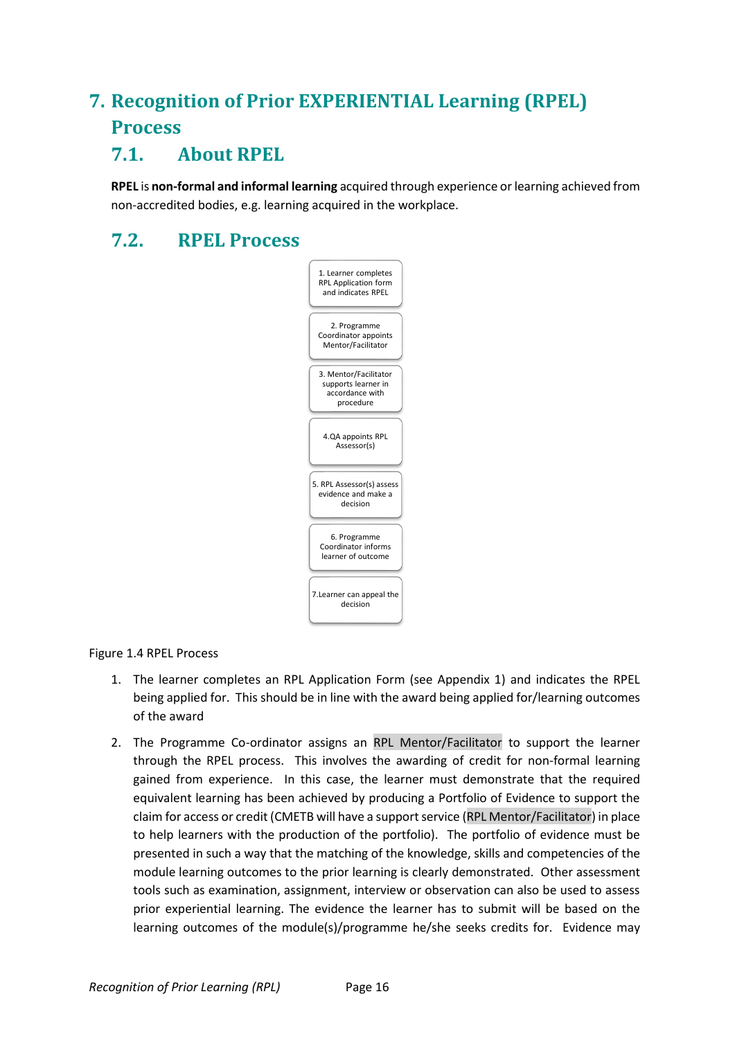# <span id="page-15-0"></span>**7. Recognition of Prior EXPERIENTIAL Learning (RPEL) Process**

### <span id="page-15-1"></span>**7.1. About RPEL**

**RPEL** is **non-formal and informal learning** acquired through experience or learning achieved from non-accredited bodies, e.g. learning acquired in the workplace.

### <span id="page-15-2"></span>**7.2. RPEL Process**



#### Figure 1.4 RPEL Process

- 1. The learner completes an RPL Application Form (see Appendix 1) and indicates the RPEL being applied for. This should be in line with the award being applied for/learning outcomes of the award
- 2. The Programme Co-ordinator assigns an RPL Mentor/Facilitator to support the learner through the RPEL process. This involves the awarding of credit for non-formal learning gained from experience. In this case, the learner must demonstrate that the required equivalent learning has been achieved by producing a Portfolio of Evidence to support the claim for access or credit (CMETB will have a support service (RPL Mentor/Facilitator) in place to help learners with the production of the portfolio). The portfolio of evidence must be presented in such a way that the matching of the knowledge, skills and competencies of the module learning outcomes to the prior learning is clearly demonstrated. Other assessment tools such as examination, assignment, interview or observation can also be used to assess prior experiential learning. The evidence the learner has to submit will be based on the learning outcomes of the module(s)/programme he/she seeks credits for. Evidence may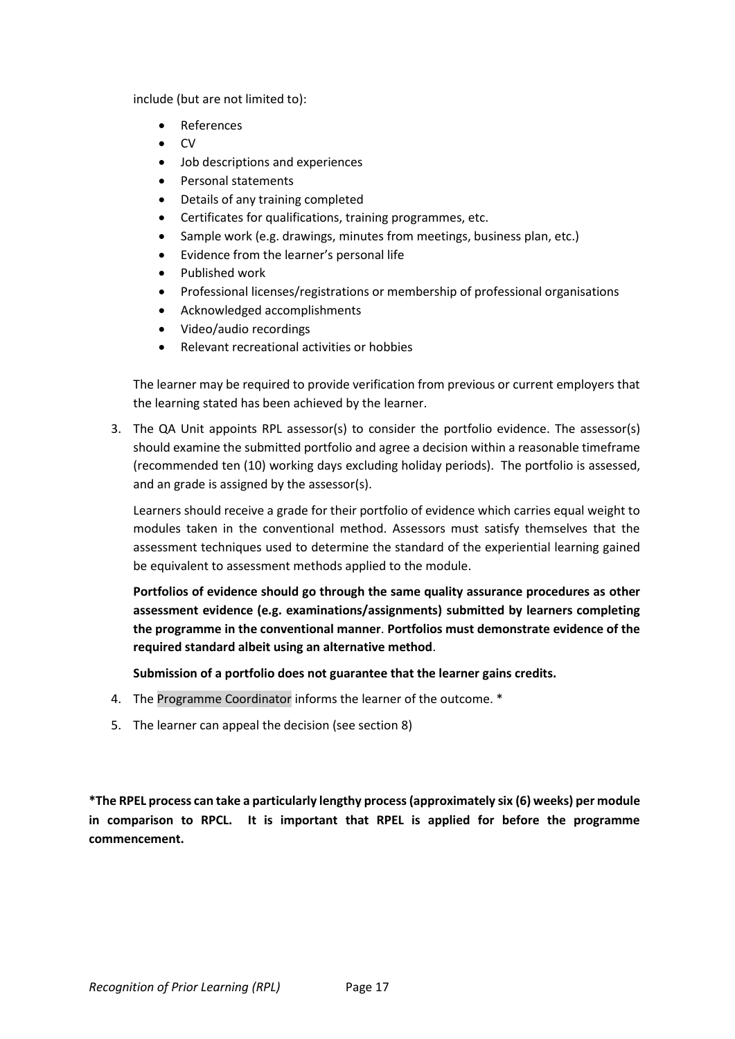include (but are not limited to):

- **References**
- CV
- Job descriptions and experiences
- Personal statements
- Details of any training completed
- Certificates for qualifications, training programmes, etc.
- Sample work (e.g. drawings, minutes from meetings, business plan, etc.)
- Evidence from the learner's personal life
- Published work
- Professional licenses/registrations or membership of professional organisations
- Acknowledged accomplishments
- Video/audio recordings
- Relevant recreational activities or hobbies

The learner may be required to provide verification from previous or current employers that the learning stated has been achieved by the learner.

3. The QA Unit appoints RPL assessor(s) to consider the portfolio evidence. The assessor(s) should examine the submitted portfolio and agree a decision within a reasonable timeframe (recommended ten (10) working days excluding holiday periods). The portfolio is assessed, and an grade is assigned by the assessor(s).

Learners should receive a grade for their portfolio of evidence which carries equal weight to modules taken in the conventional method. Assessors must satisfy themselves that the assessment techniques used to determine the standard of the experiential learning gained be equivalent to assessment methods applied to the module.

**Portfolios of evidence should go through the same quality assurance procedures as other assessment evidence (e.g. examinations/assignments) submitted by learners completing the programme in the conventional manner**. **Portfolios must demonstrate evidence of the required standard albeit using an alternative method**.

**Submission of a portfolio does not guarantee that the learner gains credits.** 

- 4. The Programme Coordinator informs the learner of the outcome. \*
- 5. The learner can appeal the decision (see section 8)

**\*The RPEL process can take a particularly lengthy process (approximately six (6) weeks) per module in comparison to RPCL. It is important that RPEL is applied for before the programme commencement.**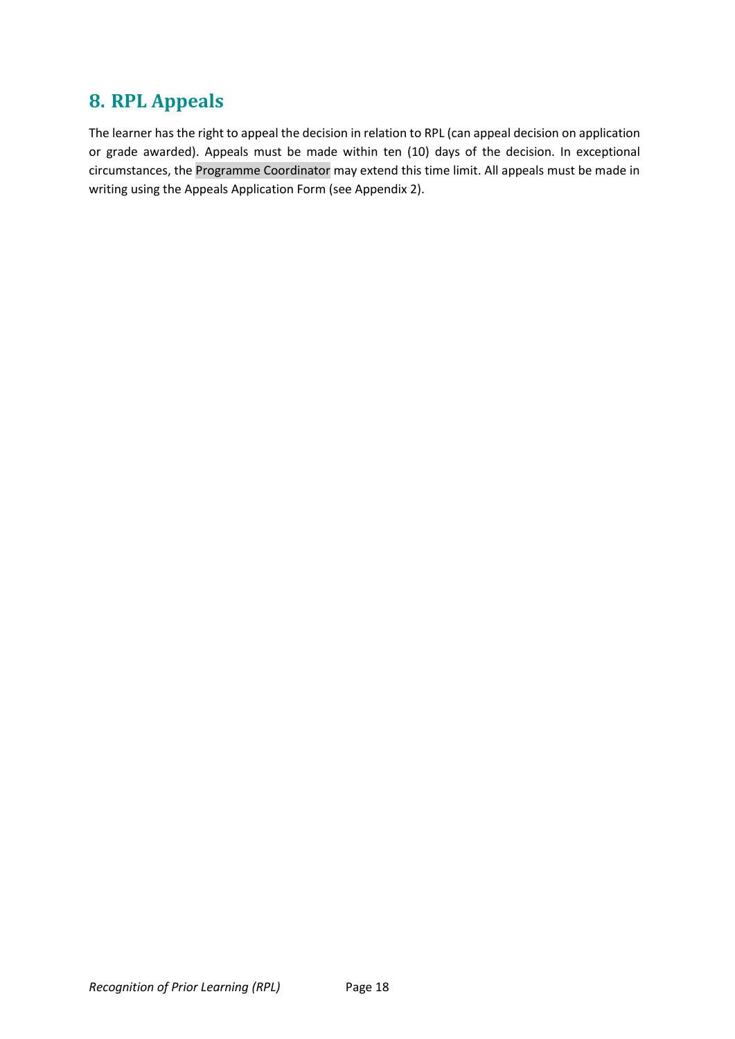### <span id="page-17-0"></span>**8. RPL Appeals**

The learner has the right to appeal the decision in relation to RPL (can appeal decision on application or grade awarded). Appeals must be made within ten (10) days of the decision. In exceptional circumstances, the Programme Coordinator may extend this time limit. All appeals must be made in writing using the Appeals Application Form (see Appendix 2).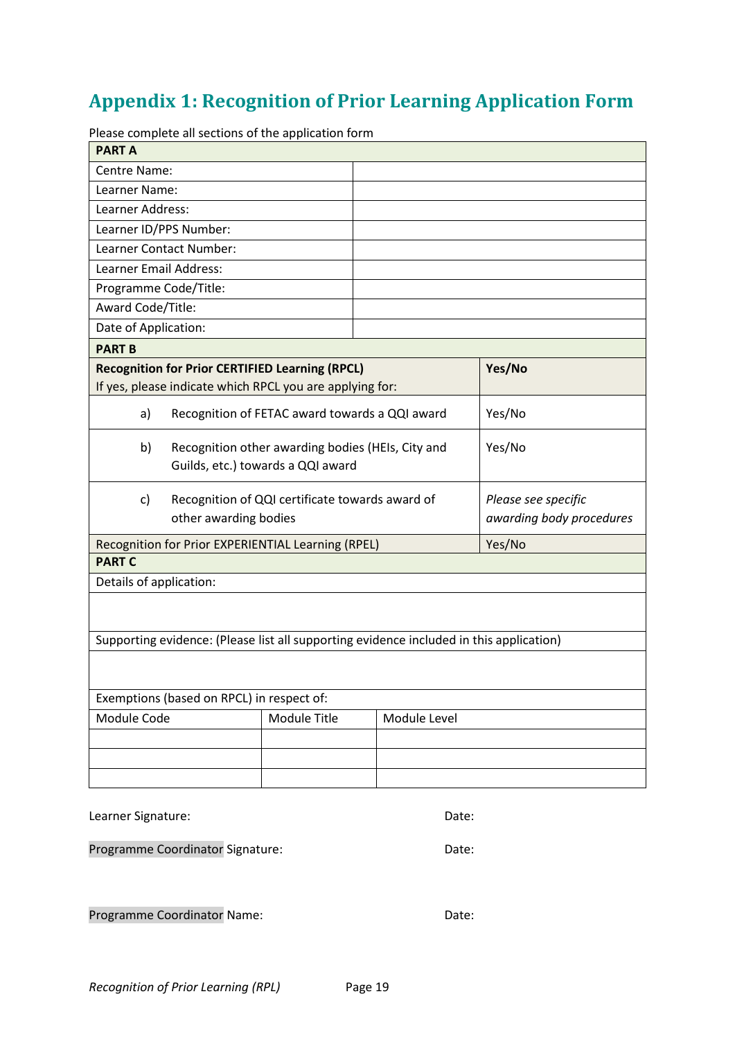# <span id="page-18-0"></span>**Appendix 1: Recognition of Prior Learning Application Form**

Please complete all sections of the application form

|                                                                                |                                                                                        | ase complete an sections or the application form                                        |  |                                                 |        |
|--------------------------------------------------------------------------------|----------------------------------------------------------------------------------------|-----------------------------------------------------------------------------------------|--|-------------------------------------------------|--------|
| <b>PART A</b>                                                                  |                                                                                        |                                                                                         |  |                                                 |        |
| Centre Name:                                                                   |                                                                                        |                                                                                         |  |                                                 |        |
| Learner Name:                                                                  |                                                                                        |                                                                                         |  |                                                 |        |
| Learner Address:                                                               |                                                                                        |                                                                                         |  |                                                 |        |
| Learner ID/PPS Number:                                                         |                                                                                        |                                                                                         |  |                                                 |        |
| Learner Contact Number:                                                        |                                                                                        |                                                                                         |  |                                                 |        |
| Learner Email Address:                                                         |                                                                                        |                                                                                         |  |                                                 |        |
| Programme Code/Title:                                                          |                                                                                        |                                                                                         |  |                                                 |        |
| Award Code/Title:                                                              |                                                                                        |                                                                                         |  |                                                 |        |
| Date of Application:                                                           |                                                                                        |                                                                                         |  |                                                 |        |
| <b>PART B</b>                                                                  |                                                                                        |                                                                                         |  |                                                 |        |
|                                                                                |                                                                                        | <b>Recognition for Prior CERTIFIED Learning (RPCL)</b>                                  |  |                                                 | Yes/No |
|                                                                                |                                                                                        | If yes, please indicate which RPCL you are applying for:                                |  |                                                 |        |
| a)                                                                             |                                                                                        | Recognition of FETAC award towards a QQI award                                          |  |                                                 | Yes/No |
| b)                                                                             | Recognition other awarding bodies (HEIs, City and<br>Guilds, etc.) towards a QQI award |                                                                                         |  | Yes/No                                          |        |
| Recognition of QQI certificate towards award of<br>c)<br>other awarding bodies |                                                                                        |                                                                                         |  | Please see specific<br>awarding body procedures |        |
|                                                                                |                                                                                        | Recognition for Prior EXPERIENTIAL Learning (RPEL)                                      |  |                                                 | Yes/No |
| <b>PART C</b>                                                                  |                                                                                        |                                                                                         |  |                                                 |        |
| Details of application:                                                        |                                                                                        |                                                                                         |  |                                                 |        |
|                                                                                |                                                                                        |                                                                                         |  |                                                 |        |
|                                                                                |                                                                                        | Supporting evidence: (Please list all supporting evidence included in this application) |  |                                                 |        |
|                                                                                |                                                                                        |                                                                                         |  |                                                 |        |
|                                                                                | Exemptions (based on RPCL) in respect of:                                              |                                                                                         |  |                                                 |        |
| Module Code<br>Module Title                                                    |                                                                                        |                                                                                         |  | Module Level                                    |        |
|                                                                                |                                                                                        |                                                                                         |  |                                                 |        |
|                                                                                |                                                                                        |                                                                                         |  |                                                 |        |
|                                                                                |                                                                                        |                                                                                         |  |                                                 |        |
| Learner Signature:<br>Date:                                                    |                                                                                        |                                                                                         |  |                                                 |        |

Programme Coordinator Signature: Coordinator Signature:

Programme Coordinator Name: Date: Date: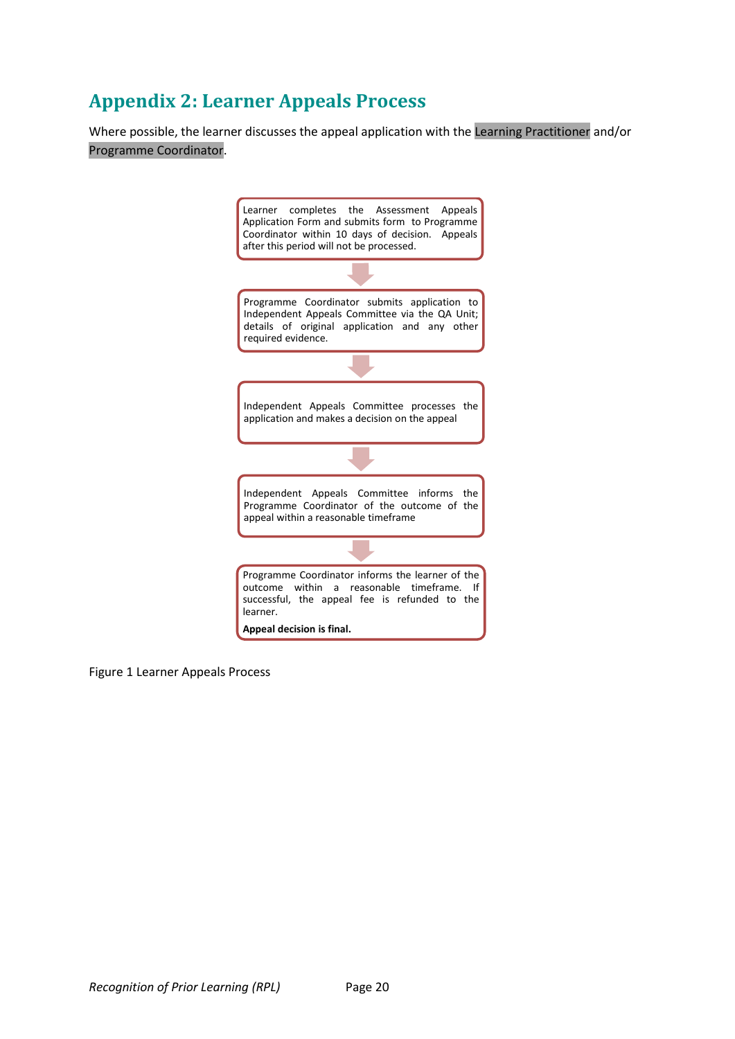# <span id="page-19-0"></span>**Appendix 2: Learner Appeals Process**

Where possible, the learner discusses the appeal application with the Learning Practitioner and/or Programme Coordinator.



Figure 1 Learner Appeals Process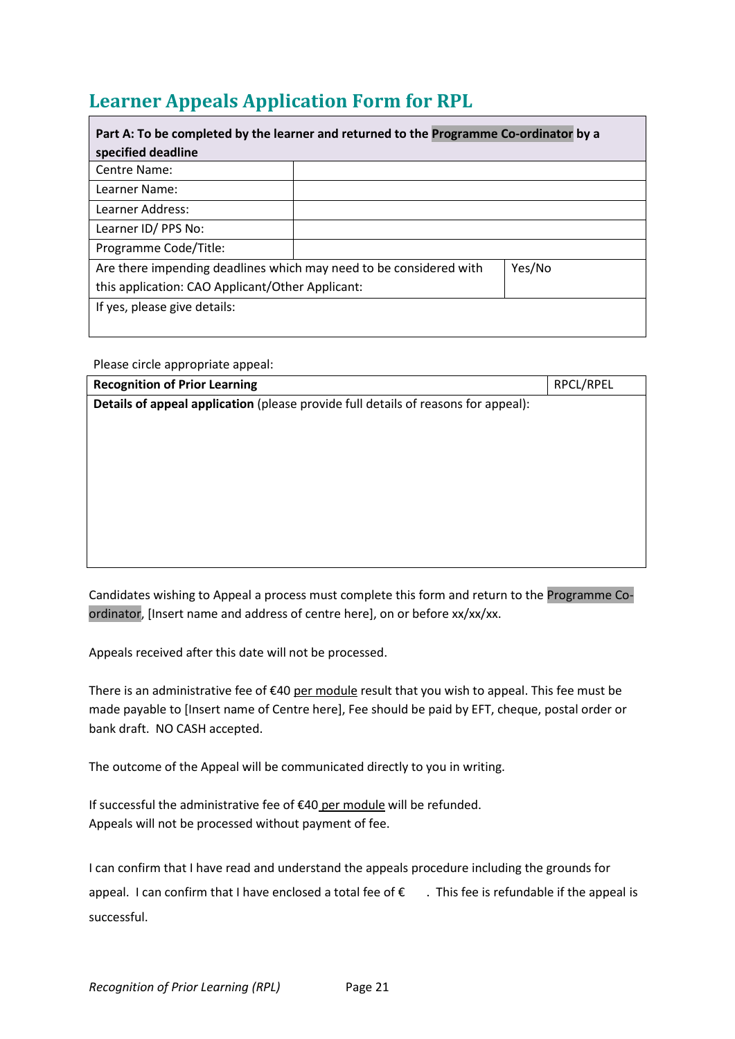# <span id="page-20-0"></span>**Learner Appeals Application Form for RPL**

| Part A: To be completed by the learner and returned to the Programme Co-ordinator by a |  |  |  |
|----------------------------------------------------------------------------------------|--|--|--|
| specified deadline                                                                     |  |  |  |
| Centre Name:                                                                           |  |  |  |
| Learner Name:                                                                          |  |  |  |
| Learner Address:                                                                       |  |  |  |
| Learner ID/ PPS No:                                                                    |  |  |  |
| Programme Code/Title:                                                                  |  |  |  |
| Are there impending deadlines which may need to be considered with<br>Yes/No           |  |  |  |
| this application: CAO Applicant/Other Applicant:                                       |  |  |  |
| If yes, please give details:                                                           |  |  |  |
|                                                                                        |  |  |  |

Please circle appropriate appeal:

| <b>Recognition of Prior Learning</b>                                               | RPCL/RPEL |  |  |
|------------------------------------------------------------------------------------|-----------|--|--|
| Details of appeal application (please provide full details of reasons for appeal): |           |  |  |
|                                                                                    |           |  |  |
|                                                                                    |           |  |  |
|                                                                                    |           |  |  |
|                                                                                    |           |  |  |
|                                                                                    |           |  |  |
|                                                                                    |           |  |  |
|                                                                                    |           |  |  |
|                                                                                    |           |  |  |
|                                                                                    |           |  |  |

Candidates wishing to Appeal a process must complete this form and return to the Programme Coordinator, [Insert name and address of centre here], on or before xx/xx/xx.

Appeals received after this date will not be processed.

There is an administrative fee of €40 per module result that you wish to appeal. This fee must be made payable to [Insert name of Centre here], Fee should be paid by EFT, cheque, postal order or bank draft. NO CASH accepted.

The outcome of the Appeal will be communicated directly to you in writing.

If successful the administrative fee of €40 per module will be refunded. Appeals will not be processed without payment of fee.

I can confirm that I have read and understand the appeals procedure including the grounds for appeal. I can confirm that I have enclosed a total fee of  $\epsilon$  . This fee is refundable if the appeal is successful.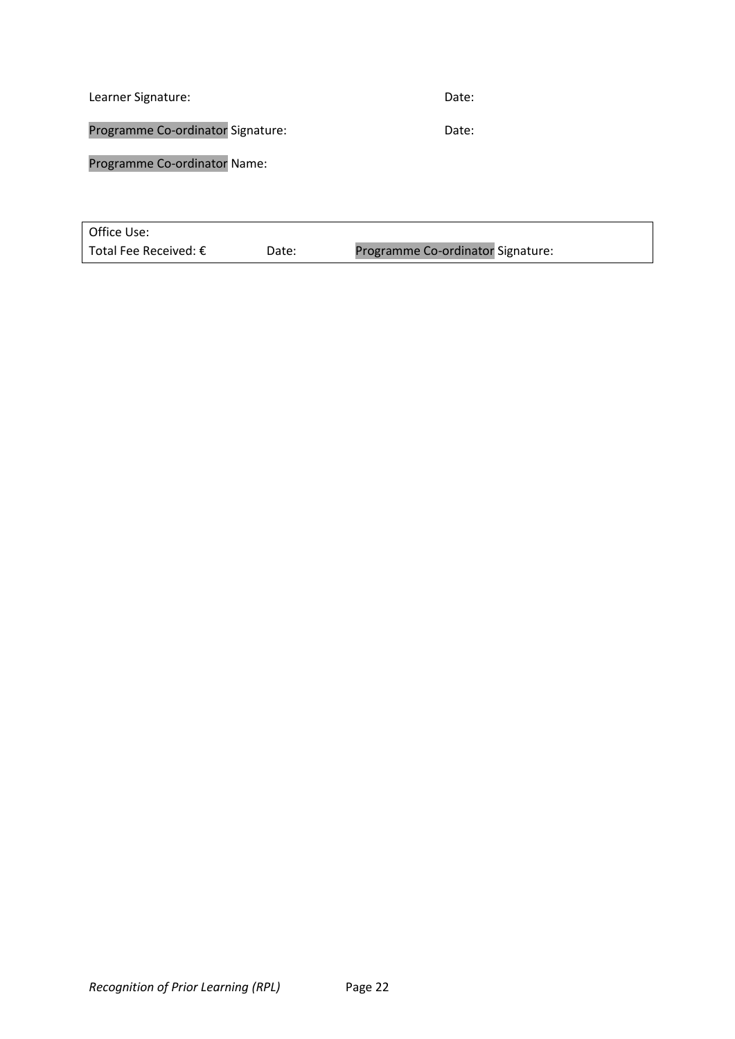Learner Signature: Date: Date: Date: Date: Date: Date: Date: Date: Date: Date: Date: Date: Date: Date: Date: D Programme Co-ordinator Signature: Date: Programme Co-ordinator Name:

| Office Use:                    |       |                                   |
|--------------------------------|-------|-----------------------------------|
| Total Fee Received: $\epsilon$ | Date: | Programme Co-ordinator Signature: |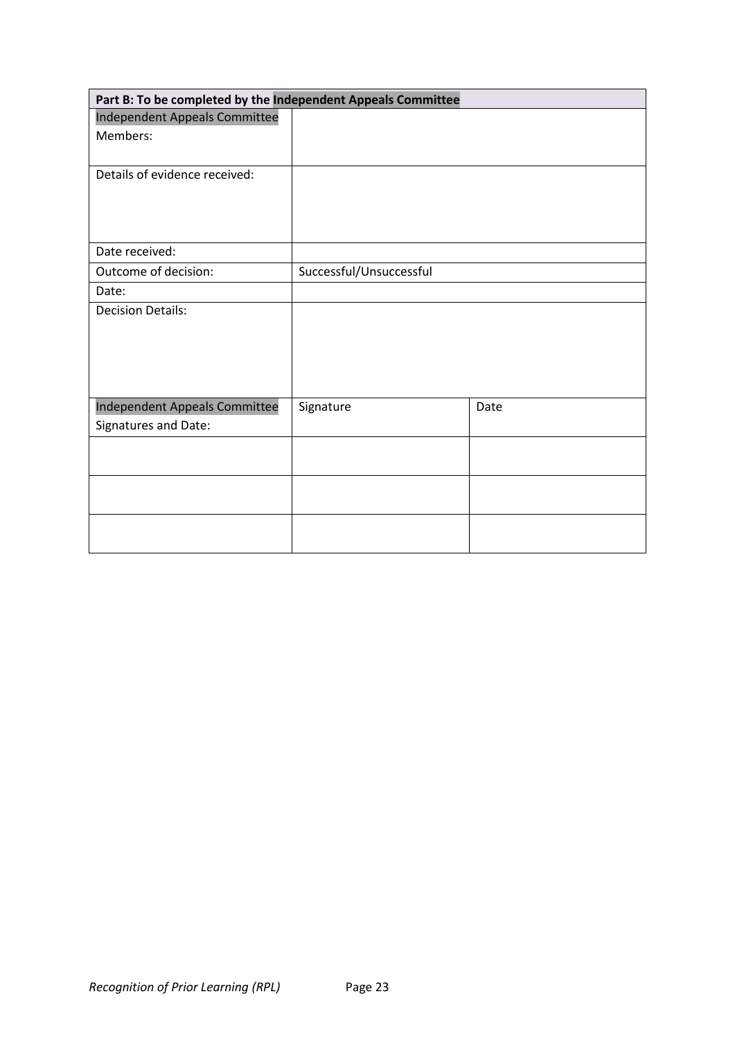| Part B: To be completed by the Independent Appeals Committee |                         |      |  |
|--------------------------------------------------------------|-------------------------|------|--|
| <b>Independent Appeals Committee</b>                         |                         |      |  |
| Members:                                                     |                         |      |  |
|                                                              |                         |      |  |
| Details of evidence received:                                |                         |      |  |
|                                                              |                         |      |  |
|                                                              |                         |      |  |
| Date received:                                               |                         |      |  |
|                                                              |                         |      |  |
| Outcome of decision:                                         | Successful/Unsuccessful |      |  |
| Date:                                                        |                         |      |  |
| <b>Decision Details:</b>                                     |                         |      |  |
|                                                              |                         |      |  |
|                                                              |                         |      |  |
|                                                              |                         |      |  |
|                                                              |                         |      |  |
|                                                              |                         |      |  |
| Independent Appeals Committee                                | Signature               | Date |  |
| Signatures and Date:                                         |                         |      |  |
|                                                              |                         |      |  |
|                                                              |                         |      |  |
|                                                              |                         |      |  |
|                                                              |                         |      |  |
|                                                              |                         |      |  |
|                                                              |                         |      |  |